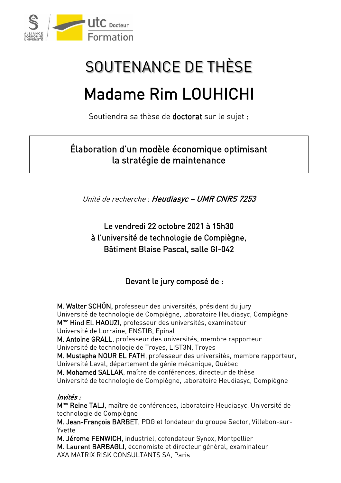

# SOUTENANCE DE THÈSE Madame Rim LOUHICHI

Soutiendra sa thèse de doctorat sur le sujet :

## Élaboration d'un modèle économique optimisant la stratégie de maintenance

Unité de recherche : Heudiasyc – UMR CNRS 7253

Le vendredi 22 octobre 2021 à 15h30 à l'université de technologie de Compiègne, Bâtiment Blaise Pascal, salle GI-042

## Devant le jury composé de :

M. Walter SCHÖN, professeur des universités, président du jury Université de technologie de Compiègne, laboratoire Heudiasyc, Compiègne M me Hind EL HAOUZI, professeur des universités, examinateur Université de Lorraine, ENSTIB, Epinal M. Antoine GRALL, professeur des universités, membre rapporteur Université de technologie de Troyes, LIST3N, Troyes M. Mustapha NOUR EL FATH, professeur des universités, membre rapporteur, Université Laval, département de génie mécanique, Québec M. Mohamed SALLAK, maître de conférences, directeur de thèse Université de technologie de Compiègne, laboratoire Heudiasyc, Compiègne Invités :

M<sup>me</sup> Reine TALJ, maître de conférences, laboratoire Heudiasyc, Université de technologie de Compiègne

M. Jean-François BARBET, PDG et fondateur du groupe Sector, Villebon-sur-Yvette

M. Jérome FENWICH, industriel, cofondateur Synox, Montpellier M. Laurent BARBAGLI, économiste et directeur général, examinateur AXA MATRIX RISK CONSULTANTS SA, Paris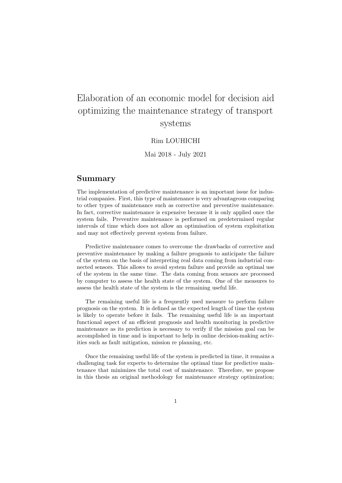## Elaboration of an economic model for decision aid optimizing the maintenance strategy of transport systems

#### Rim LOUHICHI

#### Mai 2018 - July 2021

#### Summary

The implementation of predictive maintenance is an important issue for industrial companies. First, this type of maintenance is very advantageous comparing to other types of maintenance such as corrective and preventive maintenance. In fact, corrective maintenance is expensive because it is only applied once the system fails. Preventive maintenance is performed on predetermined regular intervals of time which does not allow an optimisation of system exploitation and may not effectively prevent system from failure.

Predictive maintenance comes to overcome the drawbacks of corrective and preventive maintenance by making a failure prognosis to anticipate the failure of the system on the basis of interpreting real data coming from industrial connected sensors. This allows to avoid system failure and provide an optimal use of the system in the same time. The data coming from sensors are processed by computer to assess the health state of the system. One of the measures to assess the health state of the system is the remaining useful life.

The remaining useful life is a frequently used measure to perform failure prognosis on the system. It is defined as the expected length of time the system is likely to operate before it fails. The remaining useful life is an important functional aspect of an efficient prognosis and health monitoring in predictive maintenance as its prediction is necessary to verify if the mission goal can be accomplished in time and is important to help in online decision-making activities such as fault mitigation, mission re planning, etc.

Once the remaining useful life of the system is predicted in time, it remains a challenging task for experts to determine the optimal time for predictive maintenance that minimizes the total cost of maintenance. Therefore, we propose in this thesis an original methodology for maintenance strategy optimization;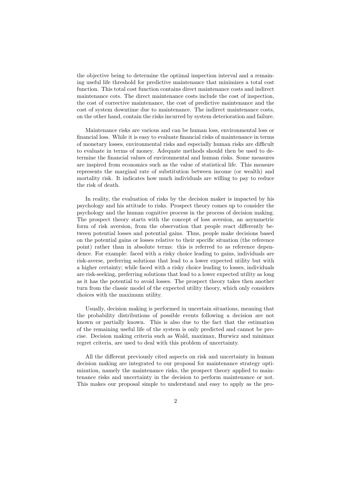the objective being to determine the optimal inspection interval and a remaining useful life threshold for predictive maintenance that minimizes a total cost function. This total cost function contains direct maintenance costs and indirect maintenance cots. The direct maintenance costs include the cost of inspection, the cost of corrective maintenance, the cost of predictive maintenance and the cost of system downtime due to maintenance. The indirect maintenance costs, on the other hand, contain the risks incurred by system deterioration and failure.

Maintenance risks are various and can be human loss, environmental loss or financial loss. While it is easy to evaluate financial risks of maintenance in terms of monetary losses, environmental risks and especially human risks are difficult to evaluate in terms of money. Adequate methods should then be used to determine the financial values of environmental and human risks. Some measures are inspired from economics such as the value of statistical life. This measure represents the marginal rate of substitution between income (or wealth) and mortality risk. It indicates how much individuals are willing to pay to reduce the risk of death.

In reality, the evaluation of risks by the decision maker is impacted by his psychology and his attitude to risks. Prospect theory comes up to consider the psychology and the human cognitive process in the process of decision making. The prospect theory starts with the concept of loss aversion, an asymmetric form of risk aversion, from the observation that people react differently between potential losses and potential gains. Thus, people make decisions based on the potential gains or losses relative to their specific situation (the reference point) rather than in absolute terms: this is referred to as reference dependence. For example: faced with a risky choice leading to gains, individuals are risk-averse, preferring solutions that lead to a lower expected utility but with a higher certainty; while faced with a risky choice leading to losses, individuals are risk-seeking, preferring solutions that lead to a lower expected utility as long as it has the potential to avoid losses. The prospect theory takes then another turn from the classic model of the expected utility theory, which only considers choices with the maximum utility.

Usually, decision making is performed in uncertain situations, meaning that the probability distributions of possible events following a decision are not known or partially known. This is also due to the fact that the estimation of the remaining useful life of the system is only predicted and cannot be precise. Decision making criteria such as Wald, maximax, Hurwicz and minimax regret criteria, are used to deal with this problem of uncertainty.

All the different previously cited aspects on risk and uncertainty in human decision making are integrated to our proposal for maintenance strategy optimization, namely the maintenance risks, the prospect theory applied to maintenance risks and uncertainty in the decision to perform maintenance or not. This makes our proposal simple to understand and easy to apply as the pro